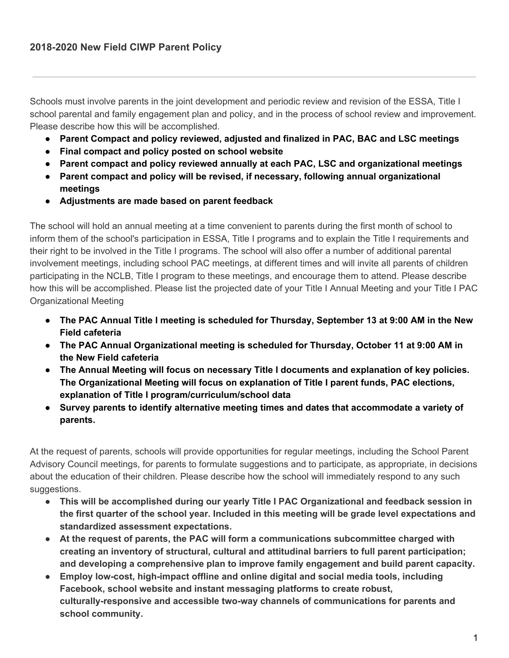Schools must involve parents in the joint development and periodic review and revision of the ESSA, Title I school parental and family engagement plan and policy, and in the process of school review and improvement. Please describe how this will be accomplished.

- **● Parent Compact and policy reviewed, adjusted and finalized in PAC, BAC and LSC meetings**
- **● Final compact and policy posted on school website**
- **● Parent compact and policy reviewed annually at each PAC, LSC and organizational meetings**
- **● Parent compact and policy will be revised, if necessary, following annual organizational meetings**
- **● Adjustments are made based on parent feedback**

The school will hold an annual meeting at a time convenient to parents during the first month of school to inform them of the school's participation in ESSA, Title I programs and to explain the Title I requirements and their right to be involved in the Title I programs. The school will also offer a number of additional parental involvement meetings, including school PAC meetings, at different times and will invite all parents of children participating in the NCLB, Title I program to these meetings, and encourage them to attend. Please describe how this will be accomplished. Please list the projected date of your Title I Annual Meeting and your Title I PAC Organizational Meeting

- The PAC Annual Title I meeting is scheduled for Thursday, September 13 at 9:00 AM in the New **Field cafeteria**
- **● The PAC Annual Organizational meeting is scheduled for Thursday, October 11 at 9:00 AM in the New Field cafeteria**
- **● The Annual Meeting will focus on necessary Title I documents and explanation of key policies. The Organizational Meeting will focus on explanation of Title I parent funds, PAC elections, explanation of Title I program/curriculum/school data**
- **● Survey parents to identify alternative meeting times and dates that accommodate a variety of parents.**

At the request of parents, schools will provide opportunities for regular meetings, including the School Parent Advisory Council meetings, for parents to formulate suggestions and to participate, as appropriate, in decisions about the education of their children. Please describe how the school will immediately respond to any such suggestions.

- **● This will be accomplished during our yearly Title I PAC Organizational and feedback session in the first quarter of the school year. Included in this meeting will be grade level expectations and standardized assessment expectations.**
- **● At the request of parents, the PAC will form a communications subcommittee charged with creating an inventory of structural, cultural and attitudinal barriers to full parent participation; and developing a comprehensive plan to improve family engagement and build parent capacity.**
- **● Employ low-cost, high-impact offline and online digital and social media tools, including Facebook, school website and instant messaging platforms to create robust, culturally-responsive and accessible two-way channels of communications for parents and school community.**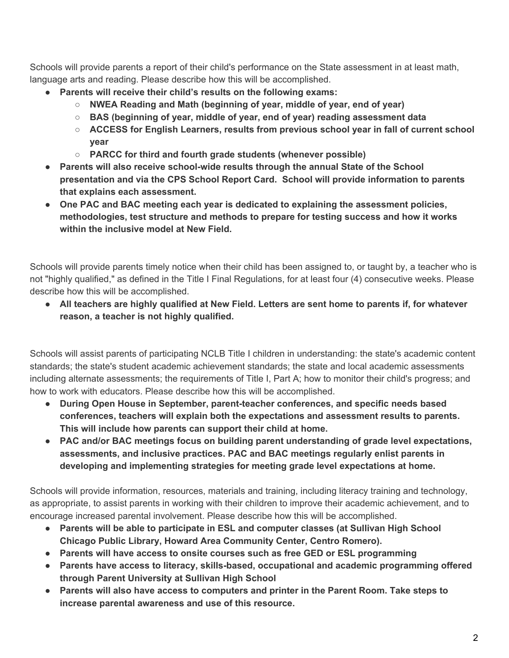Schools will provide parents a report of their child's performance on the State assessment in at least math, language arts and reading. Please describe how this will be accomplished.

- **● Parents will receive their child's results on the following exams:**
	- **○ NWEA Reading and Math (beginning of year, middle of year, end of year)**
	- **○ BAS (beginning of year, middle of year, end of year) reading assessment data**
	- **○ ACCESS for English Learners, results from previous school year in fall of current school year**
	- **○ PARCC for third and fourth grade students (whenever possible)**
- **● Parents will also receive school-wide results through the annual State of the School presentation and via the CPS School Report Card. School will provide information to parents that explains each assessment.**
- **● One PAC and BAC meeting each year is dedicated to explaining the assessment policies, methodologies, test structure and methods to prepare for testing success and how it works within the inclusive model at New Field.**

Schools will provide parents timely notice when their child has been assigned to, or taught by, a teacher who is not "highly qualified," as defined in the Title I Final Regulations, for at least four (4) consecutive weeks. Please describe how this will be accomplished.

• All teachers are highly qualified at New Field. Letters are sent home to parents if, for whatever **reason, a teacher is not highly qualified.**

Schools will assist parents of participating NCLB Title I children in understanding: the state's academic content standards; the state's student academic achievement standards; the state and local academic assessments including alternate assessments; the requirements of Title I, Part A; how to monitor their child's progress; and how to work with educators. Please describe how this will be accomplished.

- **● During Open House in September, parent-teacher conferences, and specific needs based conferences, teachers will explain both the expectations and assessment results to parents. This will include how parents can support their child at home.**
- **● PAC and/or BAC meetings focus on building parent understanding of grade level expectations, assessments, and inclusive practices. PAC and BAC meetings regularly enlist parents in developing and implementing strategies for meeting grade level expectations at home.**

Schools will provide information, resources, materials and training, including literacy training and technology, as appropriate, to assist parents in working with their children to improve their academic achievement, and to encourage increased parental involvement. Please describe how this will be accomplished.

- **● Parents will be able to participate in ESL and computer classes (at Sullivan High School Chicago Public Library, Howard Area Community Center, Centro Romero).**
- **● Parents will have access to onsite courses such as free GED or ESL programming**
- **● Parents have access to literacy, skills-based, occupational and academic programming offered through Parent University at Sullivan High School**
- **● Parents will also have access to computers and printer in the Parent Room. Take steps to increase parental awareness and use of this resource.**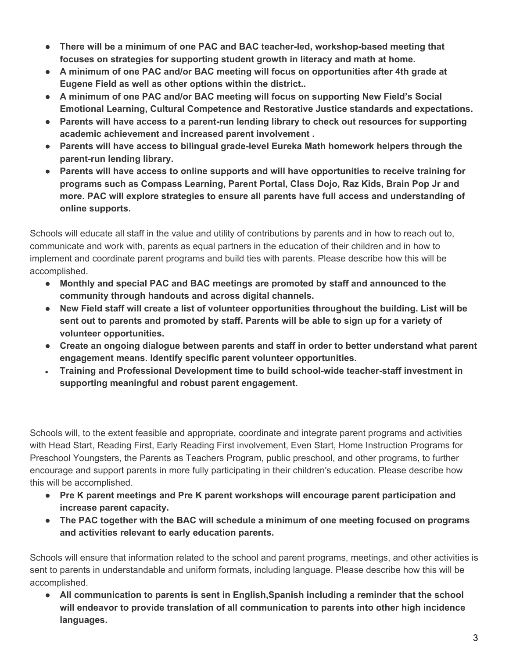- **● There will be a minimum of one PAC and BAC teacher-led, workshop-based meeting that focuses on strategies for supporting student growth in literacy and math at home.**
- **● A minimum of one PAC and/or BAC meeting will focus on opportunities after 4th grade at Eugene Field as well as other options within the district..**
- **● A minimum of one PAC and/or BAC meeting will focus on supporting New Field's Social Emotional Learning, Cultural Competence and Restorative Justice standards and expectations.**
- **● Parents will have access to a parent-run lending library to check out resources for supporting academic achievement and increased parent involvement .**
- **● Parents will have access to bilingual grade-level Eureka Math homework helpers through the parent-run lending library.**
- **● Parents will have access to online supports and will have opportunities to receive training for programs such as Compass Learning, Parent Portal, Class Dojo, Raz Kids, Brain Pop Jr and more. PAC will explore strategies to ensure all parents have full access and understanding of online supports.**

Schools will educate all staff in the value and utility of contributions by parents and in how to reach out to, communicate and work with, parents as equal partners in the education of their children and in how to implement and coordinate parent programs and build ties with parents. Please describe how this will be accomplished.

- **● Monthly and special PAC and BAC meetings are promoted by staff and announced to the community through handouts and across digital channels.**
- **New Field staff will create a list of volunteer opportunities throughout the building. List will be sent out to parents and promoted by staff. Parents will be able to sign up for a variety of volunteer opportunities.**
- **Create an ongoing dialogue between parents and staff in order to better understand what parent engagement means. Identify specific parent volunteer opportunities.**
- **Training and Professional Development time to build school-wide teacher-staff investment in supporting meaningful and robust parent engagement.**

Schools will, to the extent feasible and appropriate, coordinate and integrate parent programs and activities with Head Start, Reading First, Early Reading First involvement, Even Start, Home Instruction Programs for Preschool Youngsters, the Parents as Teachers Program, public preschool, and other programs, to further encourage and support parents in more fully participating in their children's education. Please describe how this will be accomplished.

- **● Pre K parent meetings and Pre K parent workshops will encourage parent participation and increase parent capacity.**
- **● The PAC together with the BAC will schedule a minimum of one meeting focused on programs and activities relevant to early education parents.**

Schools will ensure that information related to the school and parent programs, meetings, and other activities is sent to parents in understandable and uniform formats, including language. Please describe how this will be accomplished.

**● All communication to parents is sent in English,Spanish including a reminder that the school will endeavor to provide translation of all communication to parents into other high incidence languages.**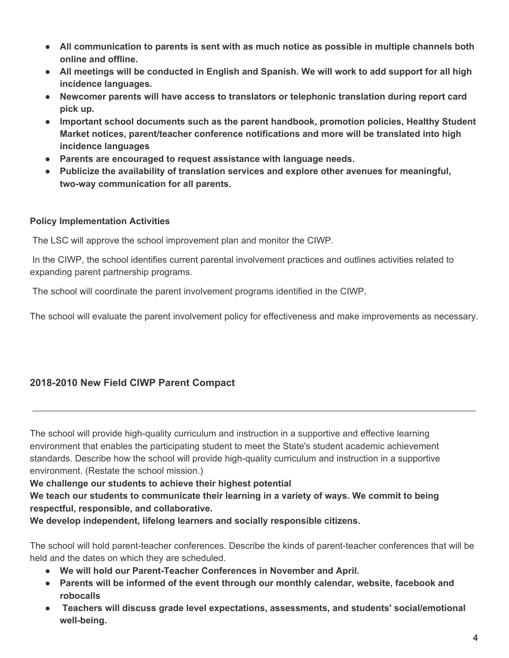- **● All communication to parents is sent with as much notice as possible in multiple channels both online and offline.**
- All meetings will be conducted in English and Spanish. We will work to add support for all high **incidence languages.**
- **● Newcomer parents will have access to translators or telephonic translation during report card pick up.**
- **● Important school documents such as the parent handbook, promotion policies, Healthy Student Market notices, parent/teacher conference notifications and more will be translated into high incidence languages**
- **● Parents are encouraged to request assistance with language needs.**
- **● Publicize the availability of translation services and explore other avenues for meaningful, two-way communication for all parents.**

## **Policy Implementation Activities**

The LSC will approve the school improvement plan and monitor the CIWP.

In the CIWP, the school identifies current parental involvement practices and outlines activities related to expanding parent partnership programs.

The school will coordinate the parent involvement programs identified in the CIWP.

The school will evaluate the parent involvement policy for effectiveness and make improvements as necessary.

## **2018-2010 New Field CIWP Parent Compact**

The school will provide high-quality curriculum and instruction in a supportive and effective learning environment that enables the participating student to meet the State's student academic achievement standards. Describe how the school will provide high-quality curriculum and instruction in a supportive environment. (Restate the school mission.)

## **We challenge our students to achieve their highest potential**

**We teach our students to communicate their learning in a variety of ways. We commit to being respectful, responsible, and collaborative.**

**We develop independent, lifelong learners and socially responsible citizens.**

The school will hold parent-teacher conferences. Describe the kinds of parent-teacher conferences that will be held and the dates on which they are scheduled.

- **● We will hold our Parent-Teacher Conferences in November and April.**
- **● Parents will be informed of the event through our monthly calendar, website, facebook and robocalls**
- **● Teachers will discuss grade level expectations, assessments, and students' social/emotional well-being.**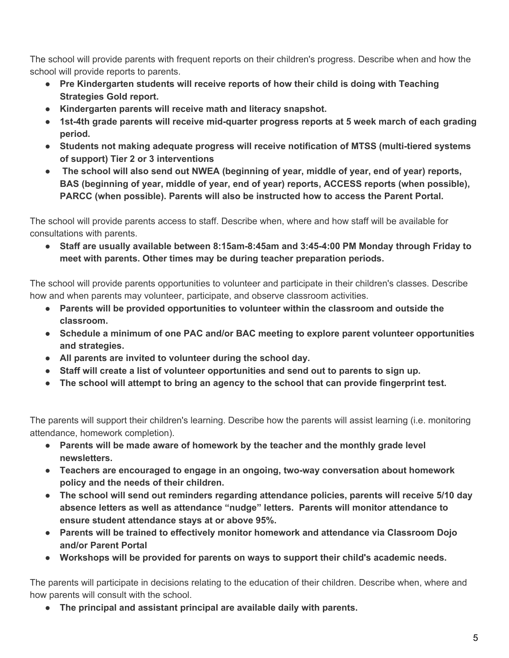The school will provide parents with frequent reports on their children's progress. Describe when and how the school will provide reports to parents.

- **● Pre Kindergarten students will receive reports of how their child is doing with Teaching Strategies Gold report.**
- **● Kindergarten parents will receive math and literacy snapshot.**
- **● 1st-4th grade parents will receive mid-quarter progress reports at 5 week march of each grading period.**
- **● Students not making adequate progress will receive notification of MTSS (multi-tiered systems of support) Tier 2 or 3 interventions**
- **● The school will also send out NWEA (beginning of year, middle of year, end of year) reports, BAS (beginning of year, middle of year, end of year) reports, ACCESS reports (when possible), PARCC (when possible). Parents will also be instructed how to access the Parent Portal.**

The school will provide parents access to staff. Describe when, where and how staff will be available for consultations with parents.

**● Staff are usually available between 8:15am-8:45am and 3:45-4:00 PM Monday through Friday to meet with parents. Other times may be during teacher preparation periods.**

The school will provide parents opportunities to volunteer and participate in their children's classes. Describe how and when parents may volunteer, participate, and observe classroom activities.

- **● Parents will be provided opportunities to volunteer within the classroom and outside the classroom.**
- **● Schedule a minimum of one PAC and/or BAC meeting to explore parent volunteer opportunities and strategies.**
- **● All parents are invited to volunteer during the school day.**
- **● Staff will create a list of volunteer opportunities and send out to parents to sign up.**
- **● The school will attempt to bring an agency to the school that can provide fingerprint test.**

The parents will support their children's learning. Describe how the parents will assist learning (i.e. monitoring attendance, homework completion).

- **● Parents will be made aware of homework by the teacher and the monthly grade level newsletters.**
- **● Teachers are encouraged to engage in an ongoing, two-way conversation about homework policy and the needs of their children.**
- **● The school will send out reminders regarding attendance policies, parents will receive 5/10 day absence letters as well as attendance "nudge" letters. Parents will monitor attendance to ensure student attendance stays at or above 95%.**
- **● Parents will be trained to effectively monitor homework and attendance via Classroom Dojo and/or Parent Portal**
- **● Workshops will be provided for parents on ways to support their child's academic needs.**

The parents will participate in decisions relating to the education of their children. Describe when, where and how parents will consult with the school.

**● The principal and assistant principal are available daily with parents.**